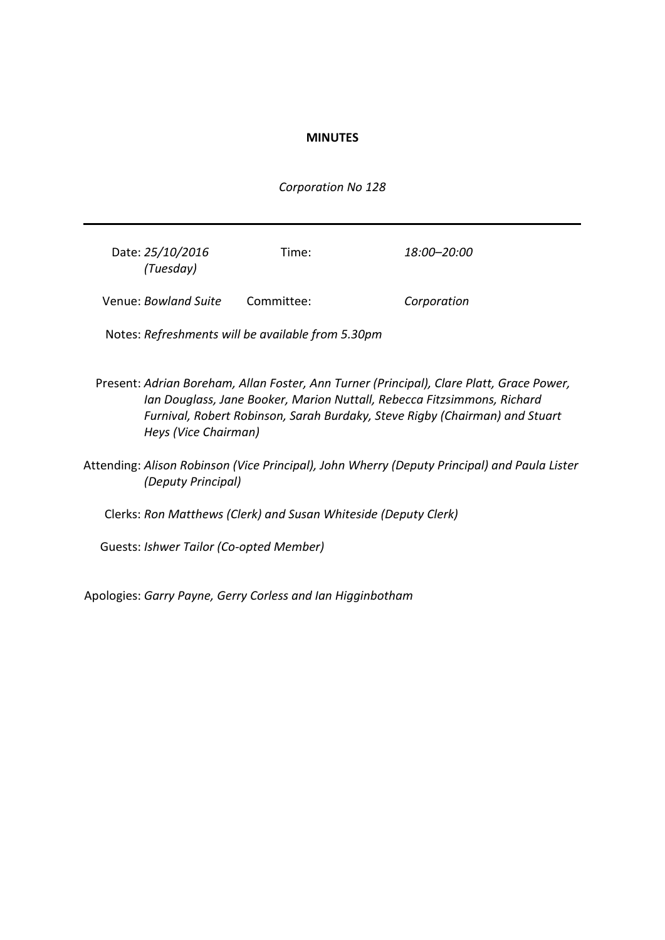### **MINUTES**

*Corporation No 128*

| Date: 25/10/2016<br>(Tuesday) | Time:      | 18:00–20:00 |
|-------------------------------|------------|-------------|
| Venue: Bowland Suite          | Committee: | Corporation |

Notes: *Refreshments will be available from 5.30pm*

- Present: *Adrian Boreham, Allan Foster, Ann Turner (Principal), Clare Platt, Grace Power, Ian Douglass, Jane Booker, Marion Nuttall, Rebecca Fitzsimmons, Richard Furnival, Robert Robinson, Sarah Burdaky, Steve Rigby (Chairman) and Stuart Heys (Vice Chairman)*
- Attending: *Alison Robinson (Vice Principal), John Wherry (Deputy Principal) and Paula Lister (Deputy Principal)*

Clerks: *Ron Matthews (Clerk) and Susan Whiteside (Deputy Clerk)*

Guests: *Ishwer Tailor (Co-opted Member)*

Apologies: *Garry Payne, Gerry Corless and Ian Higginbotham*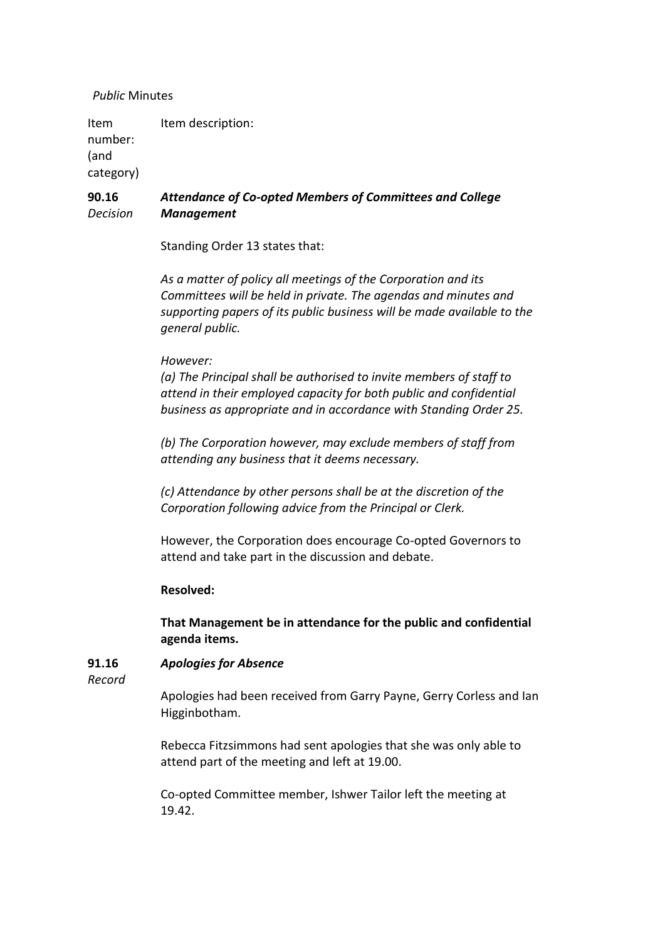### *Public* Minutes

Item number: (and category) Item description:

#### **90.16** *Decision Attendance of Co-opted Members of Committees and College Management*

Standing Order 13 states that:

*As a matter of policy all meetings of the Corporation and its Committees will be held in private. The agendas and minutes and supporting papers of its public business will be made available to the general public.*

## *However:*

*(a) The Principal shall be authorised to invite members of staff to attend in their employed capacity for both public and confidential business as appropriate and in accordance with Standing Order 25.*

*(b) The Corporation however, may exclude members of staff from attending any business that it deems necessary.*

*(c) Attendance by other persons shall be at the discretion of the Corporation following advice from the Principal or Clerk.*

However, the Corporation does encourage Co-opted Governors to attend and take part in the discussion and debate.

## **Resolved:**

**That Management be in attendance for the public and confidential agenda items.**

#### **91.16** *Apologies for Absence*

*Record*

Apologies had been received from Garry Payne, Gerry Corless and Ian Higginbotham.

Rebecca Fitzsimmons had sent apologies that she was only able to attend part of the meeting and left at 19.00.

Co-opted Committee member, Ishwer Tailor left the meeting at 19.42.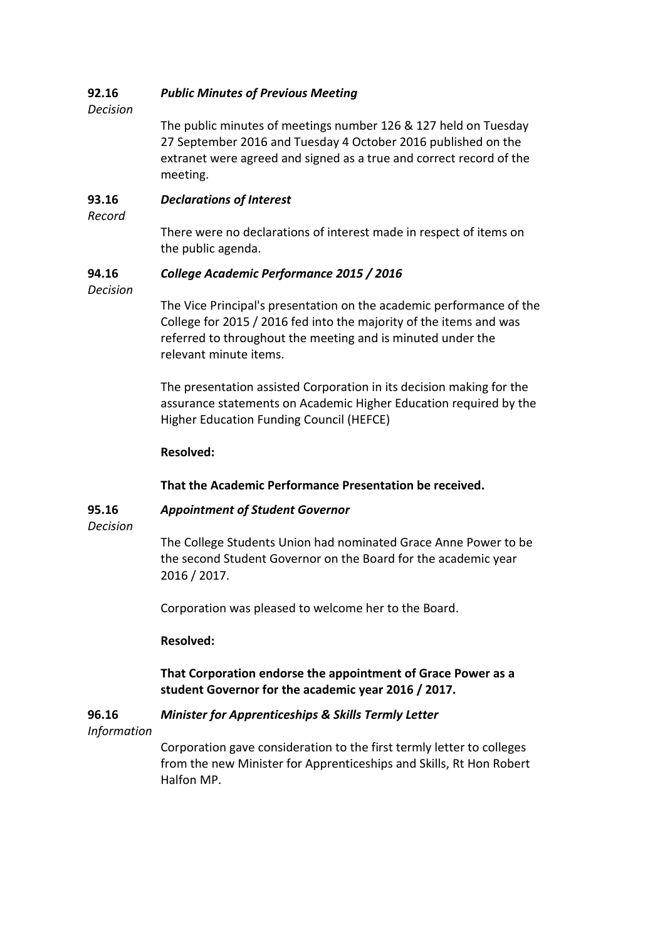#### **92.16** *Public Minutes of Previous Meeting*

*Decision*

The public minutes of meetings number 126 & 127 held on Tuesday 27 September 2016 and Tuesday 4 October 2016 published on the extranet were agreed and signed as a true and correct record of the meeting.

#### **93.16** *Declarations of Interest*

*Record*

There were no declarations of interest made in respect of items on the public agenda.

#### **94.16** *College Academic Performance 2015 / 2016*

*Decision*

The Vice Principal's presentation on the academic performance of the College for 2015 / 2016 fed into the majority of the items and was referred to throughout the meeting and is minuted under the relevant minute items.

The presentation assisted Corporation in its decision making for the assurance statements on Academic Higher Education required by the Higher Education Funding Council (HEFCE)

# **Resolved:**

# **That the Academic Performance Presentation be received.**

**95.16**

# *Appointment of Student Governor*

*Decision*

The College Students Union had nominated Grace Anne Power to be the second Student Governor on the Board for the academic year 2016 / 2017.

Corporation was pleased to welcome her to the Board.

## **Resolved:**

# **That Corporation endorse the appointment of Grace Power as a student Governor for the academic year 2016 / 2017.**

#### **96.16** *Minister for Apprenticeships & Skills Termly Letter*

*Information*

Corporation gave consideration to the first termly letter to colleges from the new Minister for Apprenticeships and Skills, Rt Hon Robert Halfon MP.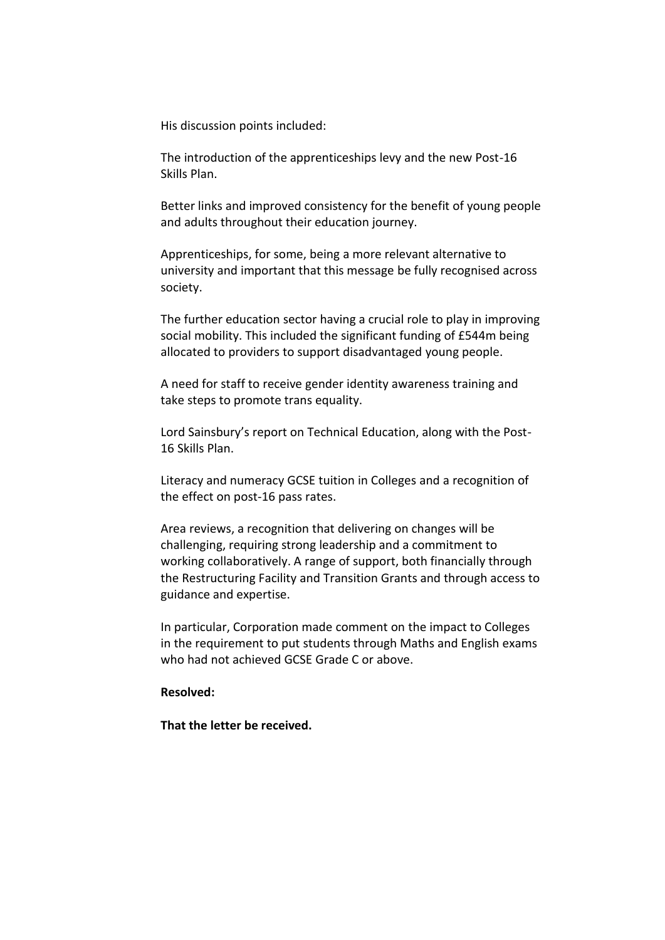His discussion points included:

The introduction of the apprenticeships levy and the new Post-16 Skills Plan.

Better links and improved consistency for the benefit of young people and adults throughout their education journey.

Apprenticeships, for some, being a more relevant alternative to university and important that this message be fully recognised across society.

The further education sector having a crucial role to play in improving social mobility. This included the significant funding of £544m being allocated to providers to support disadvantaged young people.

A need for staff to receive gender identity awareness training and take steps to promote trans equality.

Lord Sainsbury's report on Technical Education, along with the Post-16 Skills Plan.

Literacy and numeracy GCSE tuition in Colleges and a recognition of the effect on post-16 pass rates.

Area reviews, a recognition that delivering on changes will be challenging, requiring strong leadership and a commitment to working collaboratively. A range of support, both financially through the Restructuring Facility and Transition Grants and through access to guidance and expertise.

In particular, Corporation made comment on the impact to Colleges in the requirement to put students through Maths and English exams who had not achieved GCSE Grade C or above.

### **Resolved:**

**That the letter be received.**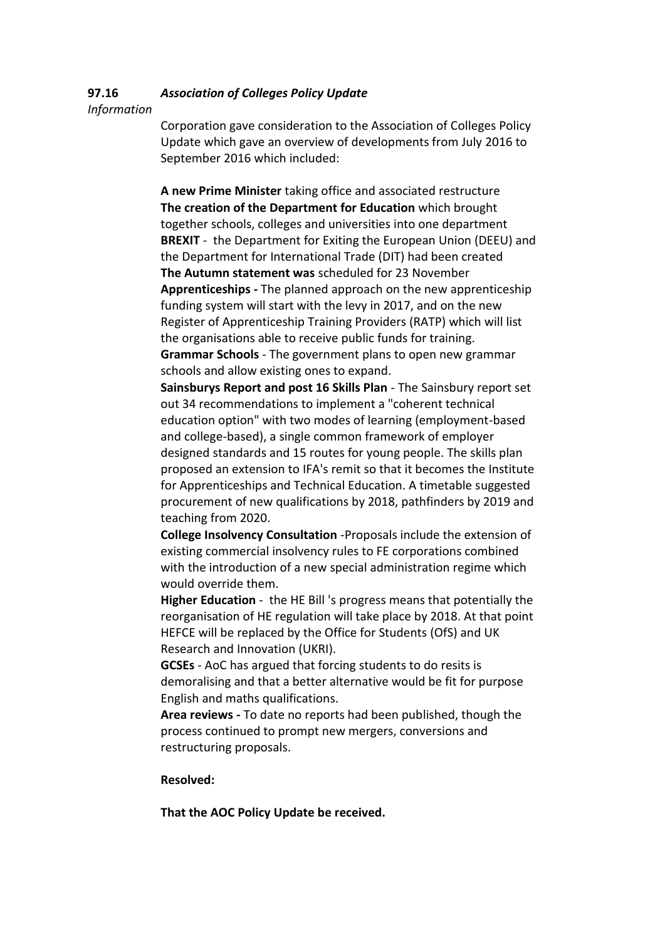#### **97.16** *Association of Colleges Policy Update*

*Information*

Corporation gave consideration to the Association of Colleges Policy Update which gave an overview of developments from July 2016 to September 2016 which included:

**A new Prime Minister** taking office and associated restructure **The creation of the Department for Education** which brought together schools, colleges and universities into one department **BREXIT** - the Department for Exiting the European Union (DEEU) and the Department for International Trade (DIT) had been created **The Autumn statement was** scheduled for 23 November **Apprenticeships -** The planned approach on the new apprenticeship funding system will start with the levy in 2017, and on the new Register of Apprenticeship Training Providers (RATP) which will list the organisations able to receive public funds for training. **Grammar Schools** - The government plans to open new grammar schools and allow existing ones to expand.

**Sainsburys Report and post 16 Skills Plan** - The Sainsbury report set out 34 recommendations to implement a "coherent technical education option" with two modes of learning (employment-based and college-based), a single common framework of employer designed standards and 15 routes for young people. The skills plan proposed an extension to IFA's remit so that it becomes the Institute for Apprenticeships and Technical Education. A timetable suggested procurement of new qualifications by 2018, pathfinders by 2019 and teaching from 2020.

**College Insolvency Consultation** -Proposals include the extension of existing commercial insolvency rules to FE corporations combined with the introduction of a new special administration regime which would override them.

**Higher Education** - the HE Bill 's progress means that potentially the reorganisation of HE regulation will take place by 2018. At that point HEFCE will be replaced by the Office for Students (OfS) and UK Research and Innovation (UKRI).

**GCSEs** - AoC has argued that forcing students to do resits is demoralising and that a better alternative would be fit for purpose English and maths qualifications.

**Area reviews -** To date no reports had been published, though the process continued to prompt new mergers, conversions and restructuring proposals.

## **Resolved:**

**That the AOC Policy Update be received.**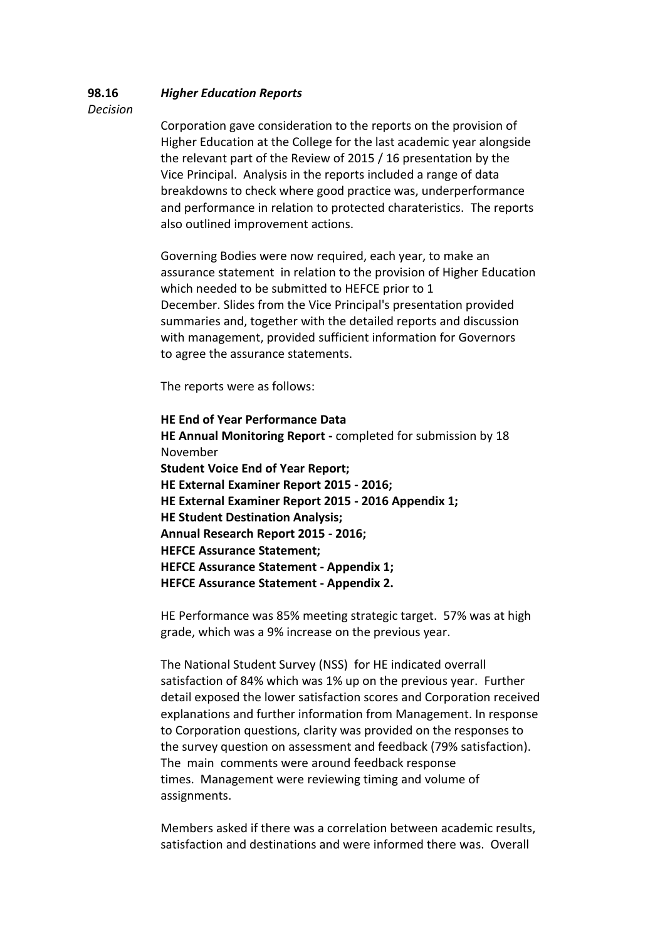#### **98.16** *Higher Education Reports*

*Decision*

Corporation gave consideration to the reports on the provision of Higher Education at the College for the last academic year alongside the relevant part of the Review of 2015 / 16 presentation by the Vice Principal. Analysis in the reports included a range of data breakdowns to check where good practice was, underperformance and performance in relation to protected charateristics. The reports also outlined improvement actions.

Governing Bodies were now required, each year, to make an assurance statement in relation to the provision of Higher Education which needed to be submitted to HEFCE prior to 1 December. Slides from the Vice Principal's presentation provided summaries and, together with the detailed reports and discussion with management, provided sufficient information for Governors to agree the assurance statements.

The reports were as follows:

**HE End of Year Performance Data HE Annual Monitoring Report -** completed for submission by 18 November **Student Voice End of Year Report; HE External Examiner Report 2015 - 2016; HE External Examiner Report 2015 - 2016 Appendix 1; HE Student Destination Analysis; Annual Research Report 2015 - 2016; HEFCE Assurance Statement; HEFCE Assurance Statement - Appendix 1; HEFCE Assurance Statement - Appendix 2.**

HE Performance was 85% meeting strategic target. 57% was at high grade, which was a 9% increase on the previous year.

The National Student Survey (NSS) for HE indicated overrall satisfaction of 84% which was 1% up on the previous year. Further detail exposed the lower satisfaction scores and Corporation received explanations and further information from Management. In response to Corporation questions, clarity was provided on the responses to the survey question on assessment and feedback (79% satisfaction). The main comments were around feedback response times. Management were reviewing timing and volume of assignments.

Members asked if there was a correlation between academic results, satisfaction and destinations and were informed there was. Overall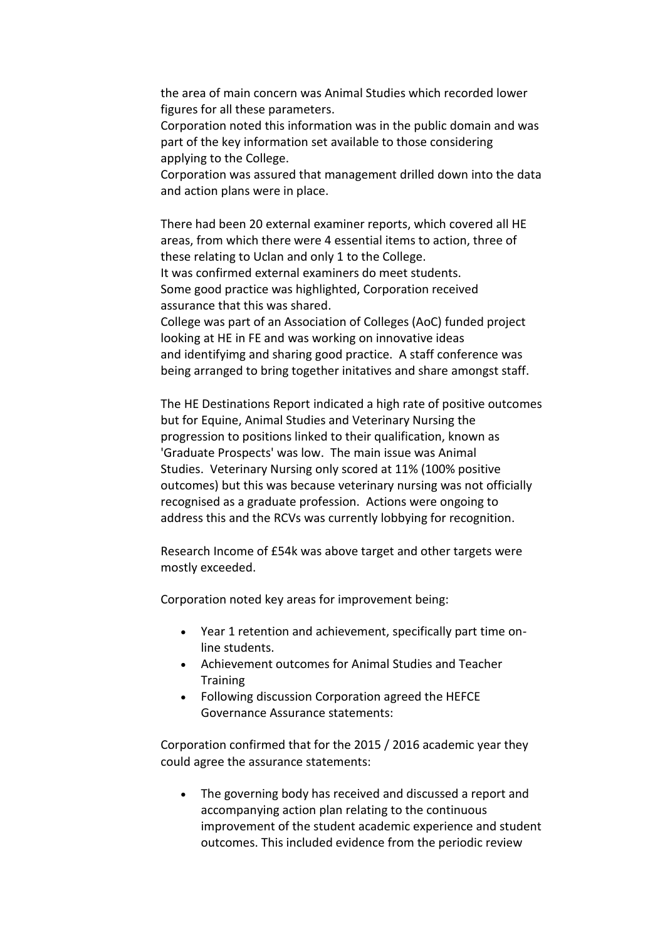the area of main concern was Animal Studies which recorded lower figures for all these parameters.

Corporation noted this information was in the public domain and was part of the key information set available to those considering applying to the College.

Corporation was assured that management drilled down into the data and action plans were in place.

There had been 20 external examiner reports, which covered all HE areas, from which there were 4 essential items to action, three of these relating to Uclan and only 1 to the College. It was confirmed external examiners do meet students. Some good practice was highlighted, Corporation received assurance that this was shared. College was part of an Association of Colleges (AoC) funded project looking at HE in FE and was working on innovative ideas and identifyimg and sharing good practice. A staff conference was

being arranged to bring together initatives and share amongst staff.

The HE Destinations Report indicated a high rate of positive outcomes but for Equine, Animal Studies and Veterinary Nursing the progression to positions linked to their qualification, known as 'Graduate Prospects' was low. The main issue was Animal Studies. Veterinary Nursing only scored at 11% (100% positive outcomes) but this was because veterinary nursing was not officially recognised as a graduate profession. Actions were ongoing to address this and the RCVs was currently lobbying for recognition.

Research Income of £54k was above target and other targets were mostly exceeded.

Corporation noted key areas for improvement being:

- Year 1 retention and achievement, specifically part time online students.
- Achievement outcomes for Animal Studies and Teacher **Training**
- Following discussion Corporation agreed the HEFCE Governance Assurance statements:

Corporation confirmed that for the 2015 / 2016 academic year they could agree the assurance statements:

 The governing body has received and discussed a report and accompanying action plan relating to the continuous improvement of the student academic experience and student outcomes. This included evidence from the periodic review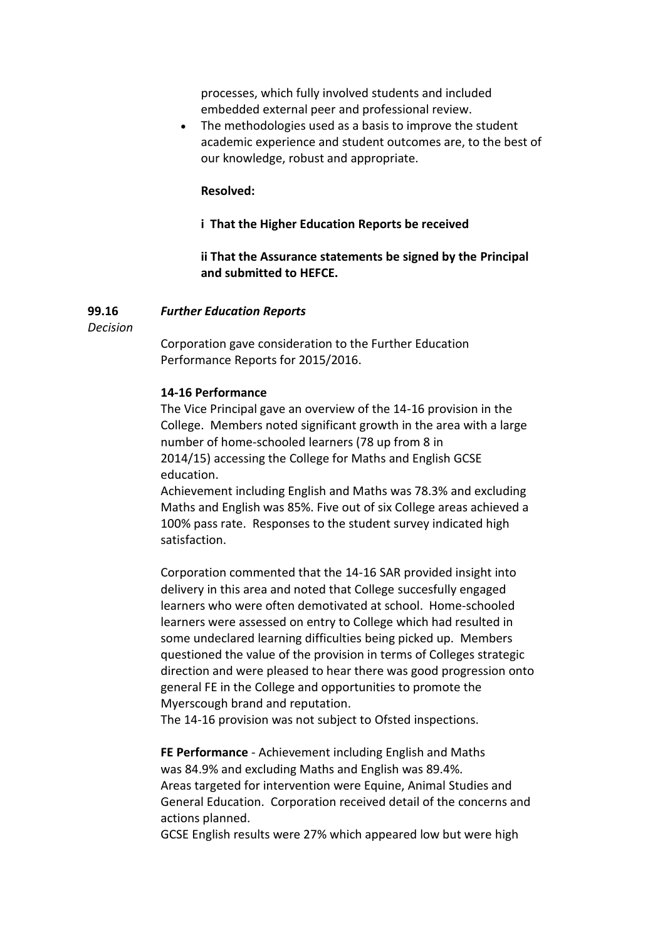processes, which fully involved students and included embedded external peer and professional review.

• The methodologies used as a basis to improve the student academic experience and student outcomes are, to the best of our knowledge, robust and appropriate.

### **Resolved:**

### **i That the Higher Education Reports be received**

**ii That the Assurance statements be signed by the Principal and submitted to HEFCE.**

#### **99.16** *Further Education Reports*

*Decision*

Corporation gave consideration to the Further Education Performance Reports for 2015/2016.

### **14-16 Performance**

The Vice Principal gave an overview of the 14-16 provision in the College. Members noted significant growth in the area with a large number of home-schooled learners (78 up from 8 in 2014/15) accessing the College for Maths and English GCSE education.

Achievement including English and Maths was 78.3% and excluding Maths and English was 85%. Five out of six College areas achieved a 100% pass rate. Responses to the student survey indicated high satisfaction.

Corporation commented that the 14-16 SAR provided insight into delivery in this area and noted that College succesfully engaged learners who were often demotivated at school. Home-schooled learners were assessed on entry to College which had resulted in some undeclared learning difficulties being picked up. Members questioned the value of the provision in terms of Colleges strategic direction and were pleased to hear there was good progression onto general FE in the College and opportunities to promote the Myerscough brand and reputation.

The 14-16 provision was not subject to Ofsted inspections.

**FE Performance** - Achievement including English and Maths was 84.9% and excluding Maths and English was 89.4%. Areas targeted for intervention were Equine, Animal Studies and General Education. Corporation received detail of the concerns and actions planned.

GCSE English results were 27% which appeared low but were high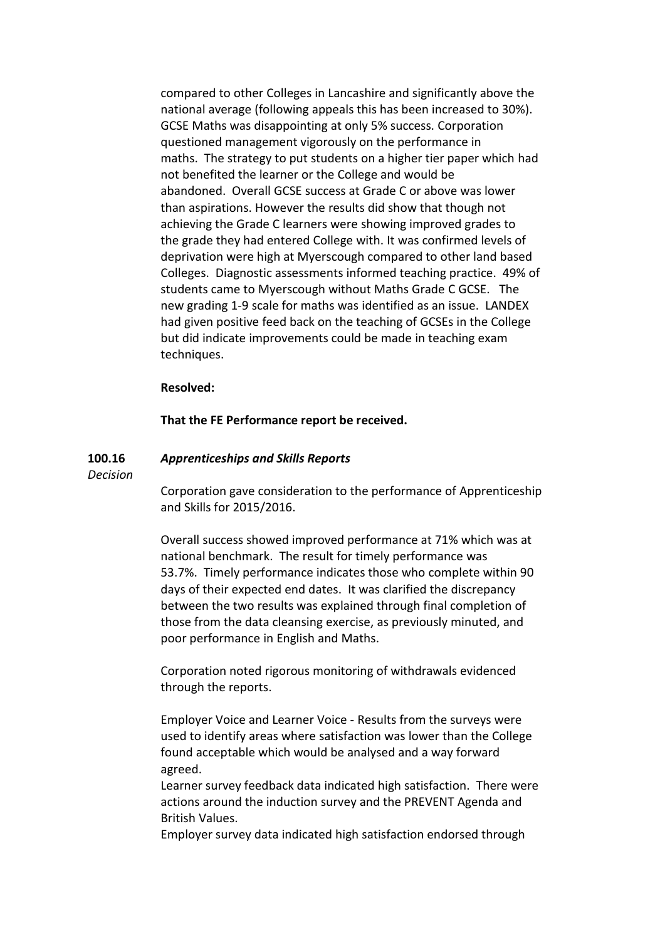compared to other Colleges in Lancashire and significantly above the national average (following appeals this has been increased to 30%). GCSE Maths was disappointing at only 5% success. Corporation questioned management vigorously on the performance in maths. The strategy to put students on a higher tier paper which had not benefited the learner or the College and would be abandoned. Overall GCSE success at Grade C or above was lower than aspirations. However the results did show that though not achieving the Grade C learners were showing improved grades to the grade they had entered College with. It was confirmed levels of deprivation were high at Myerscough compared to other land based Colleges. Diagnostic assessments informed teaching practice. 49% of students came to Myerscough without Maths Grade C GCSE. The new grading 1-9 scale for maths was identified as an issue. LANDEX had given positive feed back on the teaching of GCSEs in the College but did indicate improvements could be made in teaching exam techniques.

#### **Resolved:**

**That the FE Performance report be received.**

#### **100.16** *Apprenticeships and Skills Reports*

*Decision*

Corporation gave consideration to the performance of Apprenticeship and Skills for 2015/2016.

Overall success showed improved performance at 71% which was at national benchmark. The result for timely performance was 53.7%. Timely performance indicates those who complete within 90 days of their expected end dates. It was clarified the discrepancy between the two results was explained through final completion of those from the data cleansing exercise, as previously minuted, and poor performance in English and Maths.

Corporation noted rigorous monitoring of withdrawals evidenced through the reports.

Employer Voice and Learner Voice - Results from the surveys were used to identify areas where satisfaction was lower than the College found acceptable which would be analysed and a way forward agreed.

Learner survey feedback data indicated high satisfaction. There were actions around the induction survey and the PREVENT Agenda and British Values.

Employer survey data indicated high satisfaction endorsed through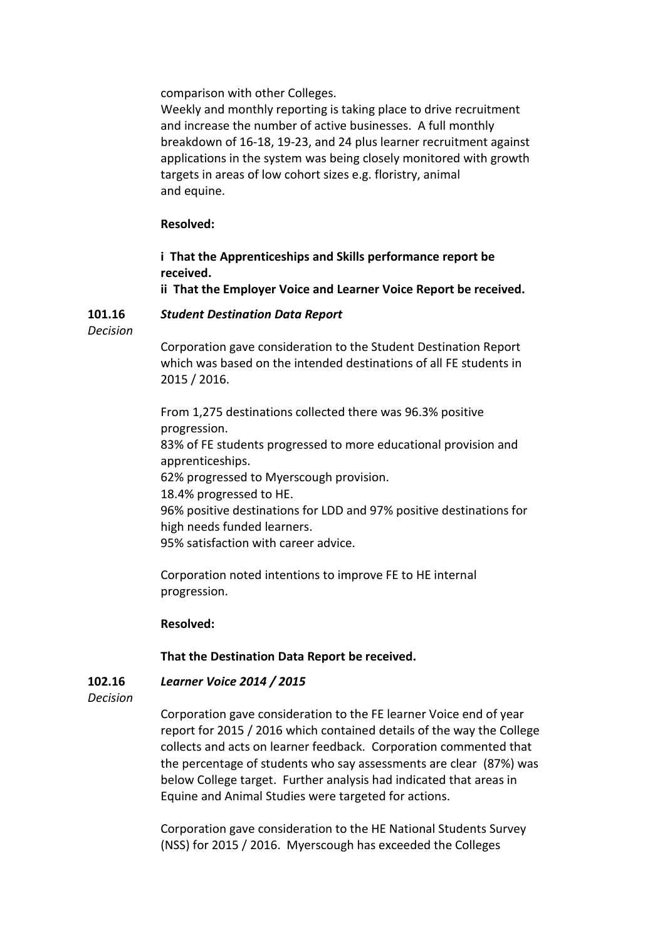comparison with other Colleges.

Weekly and monthly reporting is taking place to drive recruitment and increase the number of active businesses. A full monthly breakdown of 16-18, 19-23, and 24 plus learner recruitment against applications in the system was being closely monitored with growth targets in areas of low cohort sizes e.g. floristry, animal and equine.

# **Resolved:**

**i That the Apprenticeships and Skills performance report be received.**

**ii That the Employer Voice and Learner Voice Report be received.**

#### **101.16** *Student Destination Data Report*

*Decision*

Corporation gave consideration to the Student Destination Report which was based on the intended destinations of all FE students in 2015 / 2016.

From 1,275 destinations collected there was 96.3% positive progression.

83% of FE students progressed to more educational provision and apprenticeships.

62% progressed to Myerscough provision.

18.4% progressed to HE.

96% positive destinations for LDD and 97% positive destinations for high needs funded learners.

95% satisfaction with career advice.

Corporation noted intentions to improve FE to HE internal progression.

# **Resolved:**

# **That the Destination Data Report be received.**

#### **102.16** *Learner Voice 2014 / 2015*

*Decision*

Corporation gave consideration to the FE learner Voice end of year report for 2015 / 2016 which contained details of the way the College collects and acts on learner feedback. Corporation commented that the percentage of students who say assessments are clear (87%) was below College target. Further analysis had indicated that areas in Equine and Animal Studies were targeted for actions.

Corporation gave consideration to the HE National Students Survey (NSS) for 2015 / 2016. Myerscough has exceeded the Colleges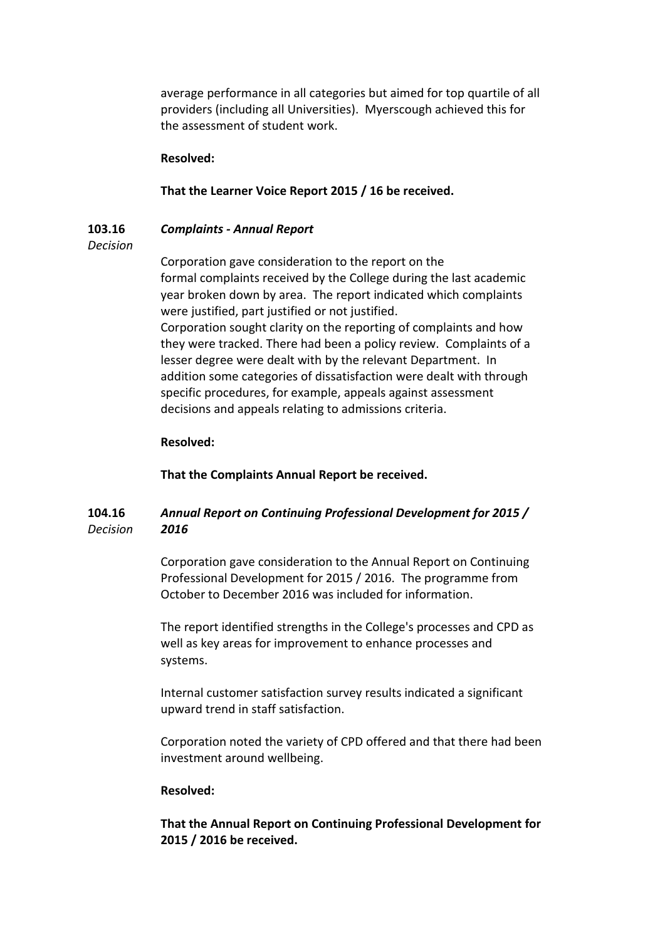average performance in all categories but aimed for top quartile of all providers (including all Universities). Myerscough achieved this for the assessment of student work.

## **Resolved:**

# **That the Learner Voice Report 2015 / 16 be received.**

#### **103.16** *Complaints - Annual Report*

## *Decision*

Corporation gave consideration to the report on the formal complaints received by the College during the last academic year broken down by area. The report indicated which complaints were justified, part justified or not justified. Corporation sought clarity on the reporting of complaints and how they were tracked. There had been a policy review. Complaints of a lesser degree were dealt with by the relevant Department. In addition some categories of dissatisfaction were dealt with through specific procedures, for example, appeals against assessment decisions and appeals relating to admissions criteria.

## **Resolved:**

**That the Complaints Annual Report be received.**

#### **104.16** *Decision Annual Report on Continuing Professional Development for 2015 / 2016*

Corporation gave consideration to the Annual Report on Continuing Professional Development for 2015 / 2016. The programme from October to December 2016 was included for information.

The report identified strengths in the College's processes and CPD as well as key areas for improvement to enhance processes and systems.

Internal customer satisfaction survey results indicated a significant upward trend in staff satisfaction.

Corporation noted the variety of CPD offered and that there had been investment around wellbeing.

## **Resolved:**

**That the Annual Report on Continuing Professional Development for 2015 / 2016 be received.**